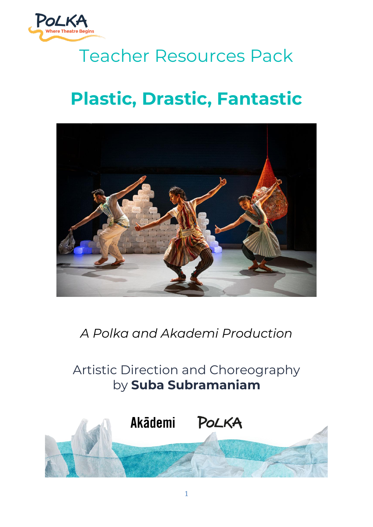

# Teacher Resources Pack

# **Plastic, Drastic, Fantastic**



*A Polka and Akademi Production*

## Artistic Direction and Choreography by **Suba Subramaniam**

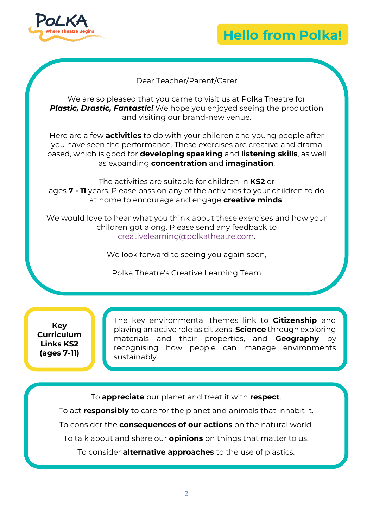



#### Dear Teacher/Parent/Carer

We are so pleased that you came to visit us at Polka Theatre for **Plastic, Drastic, Fantastic!** We hope you enjoyed seeing the production and visiting our brand-new venue.

Here are a few **activities** to do with your children and young people after you have seen the performance. These exercises are creative and drama based, which is good for **developing speaking** and **listening skills**, as well as expanding **concentration** and **imagination**.

The activities are suitable for children in **KS2** or ages **7 - 11** years. Please pass on any of the activities to your children to do at home to encourage and engage **creative minds**!

We would love to hear what you think about these exercises and how your children got along. Please send any feedback to [creativelearning@polkatheatre.com.](mailto:creativelearning@polkatheatre.com)

We look forward to seeing you again soon,

Polka Theatre's Creative Learning Team

**Key Curriculum Links KS2 (ages 7-11)**

The key environmental themes link to **Citizenship** and playing an active role as citizens, **Science** through exploring materials and their properties, and **Geography** by recognising how people can manage environments sustainably.

To **appreciate** our planet and treat it with **respect**.

To act **responsibly** to care for the planet and animals that inhabit it.

To consider the **consequences of our actions** on the natural world.

To talk about and share our **opinions** on things that matter to us.

To consider **alternative approaches** to the use of plastics.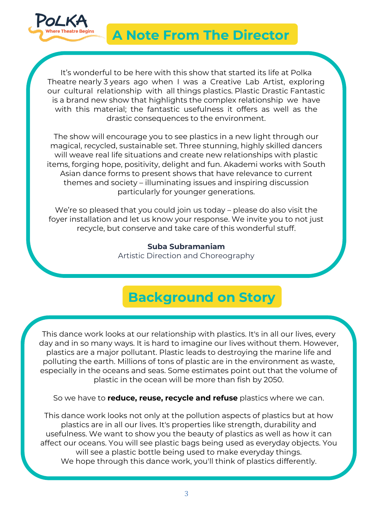

### **A Note From The Director**

It's wonderful to be here with this show that started its life at Polka Theatre nearly 3 years ago when I was a Creative Lab Artist, exploring our cultural relationship with all things plastics. Plastic Drastic Fantastic is a brand new show that highlights the complex relationship we have with this material; the fantastic usefulness it offers as well as the drastic consequences to the environment.

The show will encourage you to see plastics in a new light through our magical, recycled, sustainable set. Three stunning, highly skilled dancers will weave real life situations and create new relationships with plastic items, forging hope, positivity, delight and fun. Akademi works with South Asian dance forms to present shows that have relevance to current themes and society – illuminating issues and inspiring discussion particularly for younger generations.

We're so pleased that you could join us today – please do also visit the foyer installation and let us know your response. We invite you to not just recycle, but conserve and take care of this wonderful stuff.

> **Suba Subramaniam** Artistic Direction and Choreography

## **Background on Story**

This dance work looks at our relationship with plastics. It's in all our lives, every day and in so many ways. It is hard to imagine our lives without them. However, plastics are a major pollutant. Plastic leads to destroying the marine life and polluting the earth. Millions of tons of plastic are in the environment as waste, especially in the oceans and seas. Some estimates point out that the volume of plastic in the ocean will be more than fish by 2050.

So we have to **reduce, reuse, recycle and refuse** plastics where we can.

This dance work looks not only at the pollution aspects of plastics but at how plastics are in all our lives. It's properties like strength, durability and usefulness. We want to show you the beauty of plastics as well as how it can affect our oceans. You will see plastic bags being used as everyday objects. You will see a plastic bottle being used to make everyday things. We hope through this dance work, you'll think of plastics differently.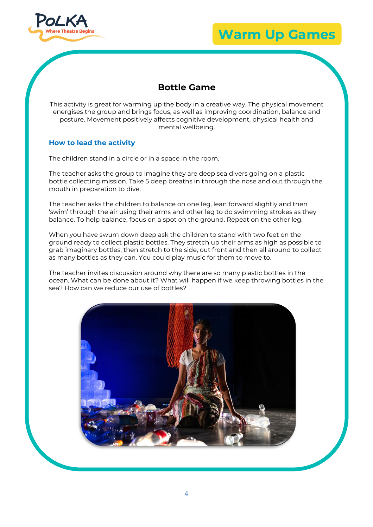

### **Warm Up Games**

### **Bottle Game**

This activity is great for warming up the body in a creative way. The physical movement energises the group and brings focus, as well as improving coordination, balance and posture. Movement positively affects cognitive development, physical health and mental wellbeing.

#### **How to lead the activity**

The children stand in a circle or in a space in the room.

The teacher asks the group to imagine they are deep sea divers going on a plastic bottle collecting mission. Take 5 deep breaths in through the nose and out through the mouth in preparation to dive.

The teacher asks the children to balance on one leg, lean forward slightly and then 'swim' through the air using their arms and other leg to do swimming strokes as they balance. To help balance, focus on a spot on the ground. Repeat on the other leg.

When you have swum down deep ask the children to stand with two feet on the ground ready to collect plastic bottles. They stretch up their arms as high as possible to grab imaginary bottles, then stretch to the side, out front and then all around to collect as many bottles as they can. You could play music for them to move to.

The teacher invites discussion around why there are so many plastic bottles in the ocean. What can be done about it? What will happen if we keep throwing bottles in the sea? How can we reduce our use of bottles?

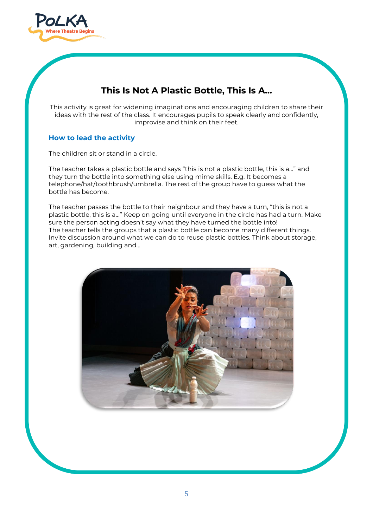

### **This Is Not A Plastic Bottle, This Is A…**

This activity is great for widening imaginations and encouraging children to share their ideas with the rest of the class. It encourages pupils to speak clearly and confidently, improvise and think on their feet.

#### **How to lead the activity**

The children sit or stand in a circle.

The teacher takes a plastic bottle and says "this is not a plastic bottle, this is a…" and they turn the bottle into something else using mime skills. E.g. It becomes a telephone/hat/toothbrush/umbrella. The rest of the group have to guess what the bottle has become.

The teacher passes the bottle to their neighbour and they have a turn, "this is not a plastic bottle, this is a…" Keep on going until everyone in the circle has had a turn. Make sure the person acting doesn't say what they have turned the bottle into! The teacher tells the groups that a plastic bottle can become many different things. Invite discussion around what we can do to reuse plastic bottles. Think about storage, art, gardening, building and…

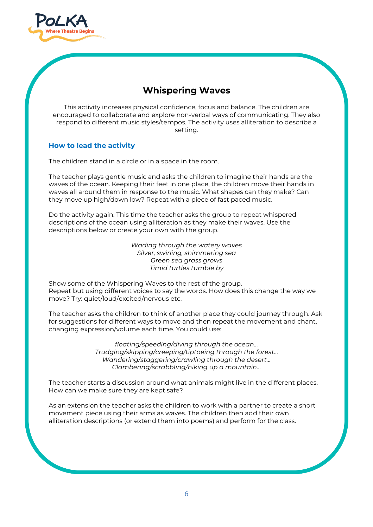

### **Whispering Waves**

This activity increases physical confidence, focus and balance. The children are encouraged to collaborate and explore non-verbal ways of communicating. They also respond to different music styles/tempos. The activity uses alliteration to describe a setting.

#### **How to lead the activity**

The children stand in a circle or in a space in the room.

The teacher plays gentle music and asks the children to imagine their hands are the waves of the ocean. Keeping their feet in one place, the children move their hands in waves all around them in response to the music. What shapes can they make? Can they move up high/down low? Repeat with a piece of fast paced music.

Do the activity again. This time the teacher asks the group to repeat whispered descriptions of the ocean using alliteration as they make their waves. Use the descriptions below or create your own with the group.

> *Wading through the watery waves Silver, swirling, shimmering sea Green sea grass grows Timid turtles tumble by*

Show some of the Whispering Waves to the rest of the group. Repeat but using different voices to say the words. How does this change the way we move? Try: quiet/loud/excited/nervous etc.

The teacher asks the children to think of another place they could journey through. Ask for suggestions for different ways to move and then repeat the movement and chant, changing expression/volume each time. You could use:

> *floating/speeding/diving through the ocean… Trudging/skipping/creeping/tiptoeing through the forest… Wandering/staggering/crawling through the desert… Clambering/scrabbling/hiking up a mountain…*

The teacher starts a discussion around what animals might live in the different places. How can we make sure they are kept safe?

As an extension the teacher asks the children to work with a partner to create a short movement piece using their arms as waves. The children then add their own alliteration descriptions (or extend them into poems) and perform for the class.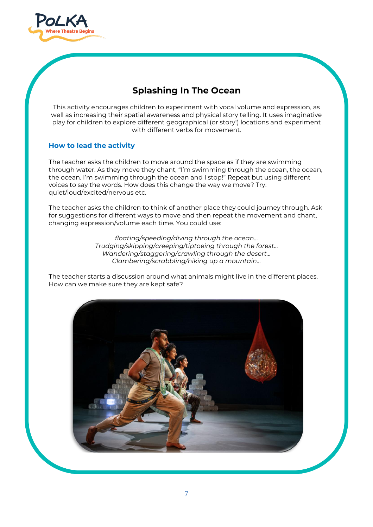

### **Splashing In The Ocean**

This activity encourages children to experiment with vocal volume and expression, as well as increasing their spatial awareness and physical story telling. It uses imaginative play for children to explore different geographical (or story!) locations and experiment with different verbs for movement.

#### **How to lead the activity**

The teacher asks the children to move around the space as if they are swimming through water. As they move they chant, "I'm swimming through the ocean, the ocean, the ocean. I'm swimming through the ocean and I stop!" Repeat but using different voices to say the words. How does this change the way we move? Try: quiet/loud/excited/nervous etc.

The teacher asks the children to think of another place they could journey through. Ask for suggestions for different ways to move and then repeat the movement and chant, changing expression/volume each time. You could use:

> *floating/speeding/diving through the ocean… Trudging/skipping/creeping/tiptoeing through the forest… Wandering/staggering/crawling through the desert… Clambering/scrabbling/hiking up a mountain…*

The teacher starts a discussion around what animals might live in the different places. How can we make sure they are kept safe?

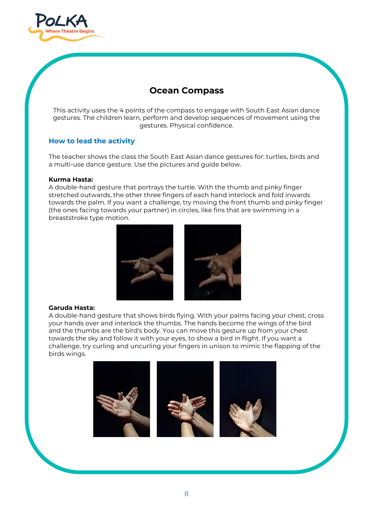

### **Ocean Compass**

This activity uses the 4 points of the compass to engage with South East Asian dance gestures. The children learn, perform and develop sequences of movement using the gestures. Physical confidence.

#### **How to lead the activity**

The teacher shows the class the South East Asian dance gestures for: turtles, birds and a multi-use dance gesture. Use the pictures and guide below.

#### **Kurma Hasta:**

A double-hand gesture that portrays the turtle. With the thumb and pinky finger stretched outwards, the other three fingers of each hand interlock and fold inwards towards the palm. If you want a challenge, try moving the front thumb and pinky finger (the ones facing towards your partner) in circles, like fins that are swimming in a breaststroke type motion.



#### **Garuda Hasta:**

A double-hand gesture that shows birds flying. With your palms facing your chest, cross your hands over and interlock the thumbs. The hands become the wings of the bird and the thumbs are the bird's body. You can move this gesture up from your chest towards the sky and follow it with your eyes, to show a bird in flight. If you want a challenge, try curling and uncurling your fingers in unison to mimic the flapping of the birds wings.

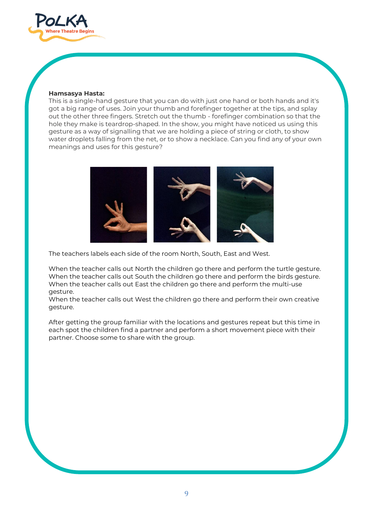

#### **Hamsasya Hasta:**

This is a single-hand gesture that you can do with just one hand or both hands and it's got a big range of uses. Join your thumb and forefinger together at the tips, and splay out the other three fingers. Stretch out the thumb - forefinger combination so that the hole they make is teardrop-shaped. In the show, you might have noticed us using this gesture as a way of signalling that we are holding a piece of string or cloth, to show water droplets falling from the net, or to show a necklace. Can you find any of your own meanings and uses for this gesture?



The teachers labels each side of the room North, South, East and West.

When the teacher calls out North the children go there and perform the turtle gesture. When the teacher calls out South the children go there and perform the birds gesture. When the teacher calls out East the children go there and perform the multi-use gesture.

When the teacher calls out West the children go there and perform their own creative gesture.

After getting the group familiar with the locations and gestures repeat but this time in each spot the children find a partner and perform a short movement piece with their partner. Choose some to share with the group.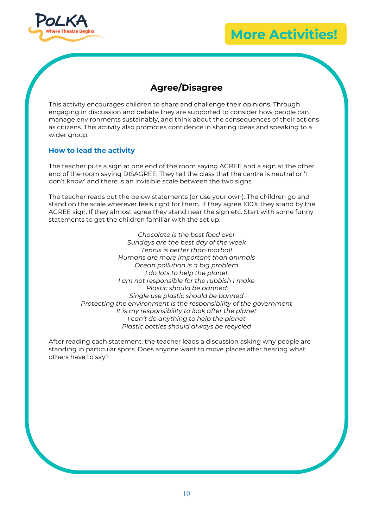

### **More Activities!**

### **Agree/Disagree**

This activity encourages children to share and challenge their opinions. Through engaging in discussion and debate they are supported to consider how people can manage environments sustainably, and think about the consequences of their actions as citizens. This activity also promotes confidence in sharing ideas and speaking to a wider group.

#### **How to lead the activity**

The teacher puts a sign at one end of the room saying AGREE and a sign at the other end of the room saying DISAGREE. They tell the class that the centre is neutral or 'I don't know' and there is an invisible scale between the two signs.

The teacher reads out the below statements (or use your own). The children go and stand on the scale wherever feels right for them. If they agree 100% they stand by the AGREE sign. If they almost agree they stand near the sign etc. Start with some funny statements to get the children familiar with the set up.

> *Chocolate is the best food ever Sundays are the best day of the week Tennis is better than football Humans are more important than animals Ocean pollution is a big problem I do lots to help the planet I am not responsible for the rubbish I make Plastic should be banned Single use plastic should be banned Protecting the environment is the responsibility of the government It is my responsibility to look after the planet I can't do anything to help the planet Plastic bottles should always be recycled*

After reading each statement, the teacher leads a discussion asking why people are standing in particular spots. Does anyone want to move places after hearing what others have to say?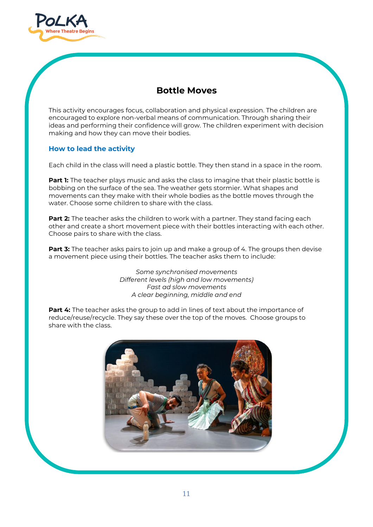

### **Bottle Moves**

This activity encourages focus, collaboration and physical expression. The children are encouraged to explore non-verbal means of communication. Through sharing their ideas and performing their confidence will grow. The children experiment with decision making and how they can move their bodies.

#### **How to lead the activity**

Each child in the class will need a plastic bottle. They then stand in a space in the room.

**Part 1:** The teacher plays music and asks the class to imagine that their plastic bottle is bobbing on the surface of the sea. The weather gets stormier. What shapes and movements can they make with their whole bodies as the bottle moves through the water. Choose some children to share with the class.

**Part 2:** The teacher asks the children to work with a partner. They stand facing each other and create a short movement piece with their bottles interacting with each other. Choose pairs to share with the class.

**Part 3:** The teacher asks pairs to join up and make a group of 4. The groups then devise a movement piece using their bottles. The teacher asks them to include:

> *Some synchronised movements Different levels (high and low movements) Fast ad slow movements A clear beginning, middle and end*

**Part 4:** The teacher asks the group to add in lines of text about the importance of reduce/reuse/recycle. They say these over the top of the moves. Choose groups to share with the class.

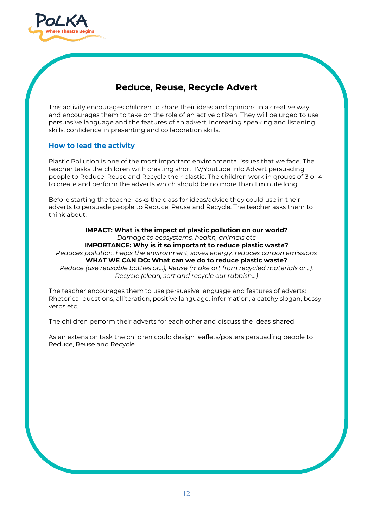

### **Reduce, Reuse, Recycle Advert**

This activity encourages children to share their ideas and opinions in a creative way, and encourages them to take on the role of an active citizen. They will be urged to use persuasive language and the features of an advert, increasing speaking and listening skills, confidence in presenting and collaboration skills.

#### **How to lead the activity**

Plastic Pollution is one of the most important environmental issues that we face. The teacher tasks the children with creating short TV/Youtube Info Advert persuading people to Reduce, Reuse and Recycle their plastic. The children work in groups of 3 or 4 to create and perform the adverts which should be no more than 1 minute long.

Before starting the teacher asks the class for ideas/advice they could use in their adverts to persuade people to Reduce, Reuse and Recycle. The teacher asks them to think about:

**IMPACT: What is the impact of plastic pollution on our world?** *Damage to ecosystems, health, animals etc* **IMPORTANCE: Why is it so important to reduce plastic waste?** *Reduces pollution, helps the environment, saves energy, reduces carbon emissions* **WHAT WE CAN DO: What can we do to reduce plastic waste?** *Reduce (use reusable bottles or…), Reuse (make art from recycled materials or…), Recycle (clean, sort and recycle our rubbish…)*

The teacher encourages them to use persuasive language and features of adverts: Rhetorical questions, alliteration, positive language, information, a catchy slogan, bossy verbs etc.

The children perform their adverts for each other and discuss the ideas shared.

As an extension task the children could design leaflets/posters persuading people to Reduce, Reuse and Recycle.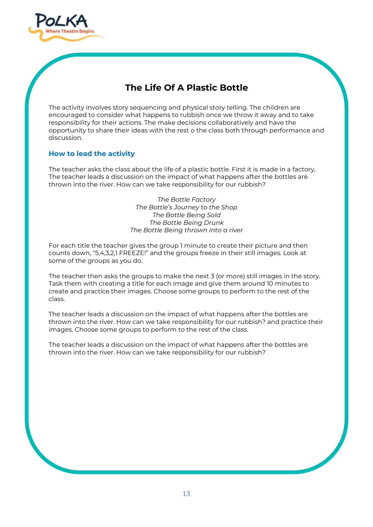

### **The Life Of A Plastic Bottle**

The activity involves story sequencing and physical story telling. The children are encouraged to consider what happens to rubbish once we throw it away and to take responsibility for their actions. The make decisions collaboratively and have the opportunity to share their ideas with the rest o the class both through performance and discussion.

#### **How to lead the activity**

The teacher asks the class about the life of a plastic bottle. First it is made in a factory, The teacher leads a discussion on the impact of what happens after the bottles are thrown into the river. How can we take responsibility for our rubbish?

> *The Bottle Factory The Bottle's Journey to the Shop The Bottle Being Sold The Bottle Being Drunk The Bottle Being thrown into a river*

For each title the teacher gives the group 1 minute to create their picture and then counts down, "5,4,3,2,1 FREEZE!" and the groups freeze in their still images. Look at some of the groups as you do.

The teacher then asks the groups to make the next 3 (or more) still images in the story. Task them with creating a title for each image and give them around 10 minutes to create and practice their images. Choose some groups to perform to the rest of the class.

The teacher leads a discussion on the impact of what happens after the bottles are thrown into the river. How can we take responsibility for our rubbish? and practice their images. Choose some groups to perform to the rest of the class.

The teacher leads a discussion on the impact of what happens after the bottles are thrown into the river. How can we take responsibility for our rubbish?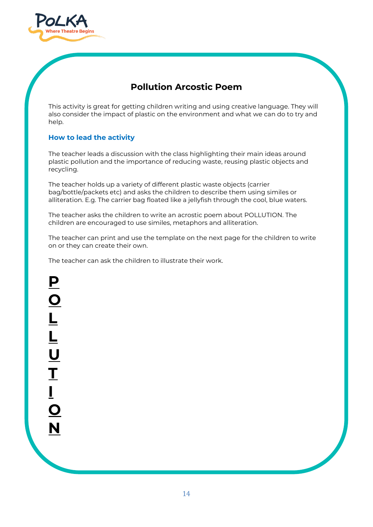

### **Pollution Arcostic Poem**

This activity is great for getting children writing and using creative language. They will also consider the impact of plastic on the environment and what we can do to try and help.

#### **How to lead the activity**

The teacher leads a discussion with the class highlighting their main ideas around plastic pollution and the importance of reducing waste, reusing plastic objects and recycling.

The teacher holds up a variety of different plastic waste objects (carrier bag/bottle/packets etc) and asks the children to describe them using similes or alliteration. E.g. The carrier bag floated like a jellyfish through the cool, blue waters.

The teacher asks the children to write an acrostic poem about POLLUTION. The children are encouraged to use similes, metaphors and alliteration.

The teacher can print and use the template on the next page for the children to write on or they can create their own.

The teacher can ask the children to illustrate their work.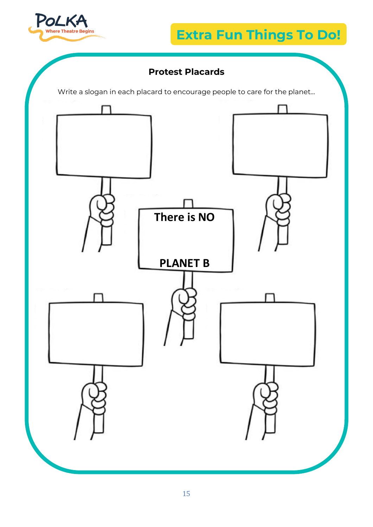

### **Extra Fun Things To Do!**

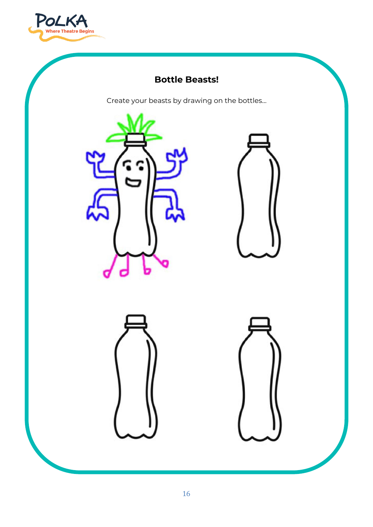

### **Bottle Beasts!**

Create your beasts by drawing on the bottles…